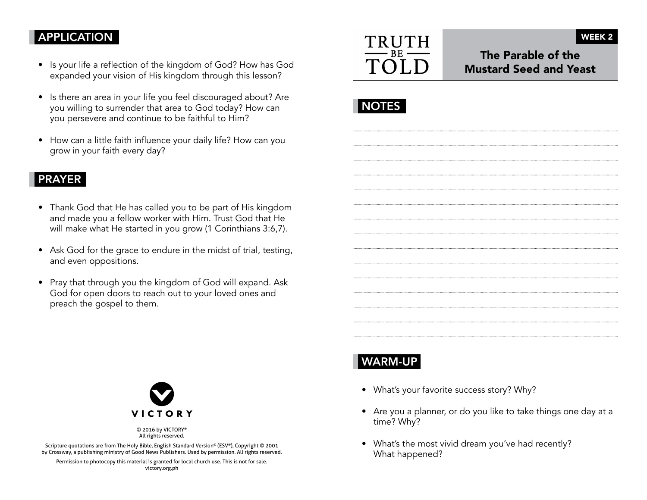## APPLICATION

- Is your life a reflection of the kingdom of God? How has God expanded your vision of His kingdom through this lesson?
- Is there an area in your life you feel discouraged about? Are you willing to surrender that area to God today? How can you persevere and continue to be faithful to Him?
- How can a little faith influence your daily life? How can you grow in your faith every day?

#### PRAYER

- Thank God that He has called you to be part of His kingdom and made you a fellow worker with Him. Trust God that He will make what He started in you grow (1 Corinthians 3:6,7).
- Ask God for the grace to endure in the midst of trial, testing, and even oppositions.
- Pray that through you the kingdom of God will expand. Ask God for open doors to reach out to your loved ones and preach the gospel to them.



The Parable of the Mustard Seed and Yeast

WEEK 2

|--|

#### WARM-UP

- What's your favorite success story? Why?
- Are you a planner, or do you like to take things one day at a time? Why?
- What's the most vivid dream you've had recently? What happened?



© 2016 by VICTORY® All rights reserved.

Scripture quotations are from The Holy Bible, English Standard Version® (ESV®), Copyright © 2001 by Crossway, a publishing ministry of Good News Publishers. Used by permission. All rights reserved.

Permission to photocopy this material is granted for local church use. This is not for sale. victory.org.ph